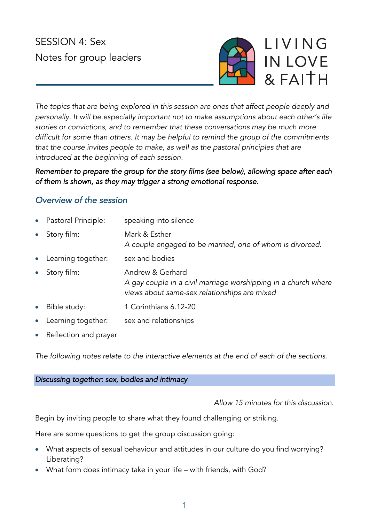# SESSION 4: Sex Notes for group leaders



*The topics that are being explored in this session are ones that affect people deeply and personally. It will be especially important not to make assumptions about each other's life stories or convictions, and to remember that these conversations may be much more difficult for some than others. It may be helpful to remind the group of the commitments that the course invites people to make, as well as the pastoral principles that are introduced at the beginning of each session.*

*Remember to prepare the group for the story films (see below), allowing space after each of them is shown, as they may trigger a strong emotional response.* 

# *Overview of the session*

- Pastoral Principle: speaking into silence • Story film: Mark & Esther *A couple engaged to be married, one of whom is divorced.* • Learning together: sex and bodies • Story film: Andrew & Gerhard *A gay couple in a civil marriage worshipping in a church where views about same-sex relationships are mixed* • Bible study: 1 Corinthians 6.12-20
- Learning together: sex and relationships
- Reflection and prayer

*The following notes relate to the interactive elements at the end of each of the sections.*

*Discussing together: sex, bodies and intimacy* 

*Allow 15 minutes for this discussion.*

Begin by inviting people to share what they found challenging or striking.

Here are some questions to get the group discussion going:

- What aspects of sexual behaviour and attitudes in our culture do you find worrying? Liberating?
- What form does intimacy take in your life with friends, with God?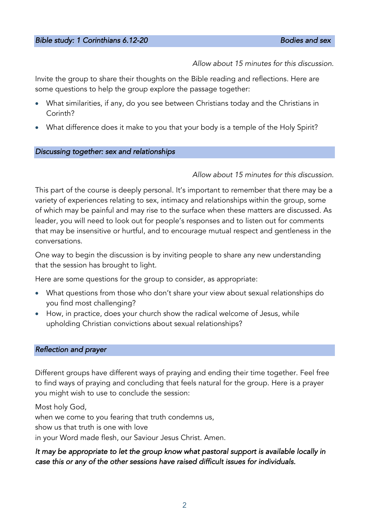*Allow about 15 minutes for this discussion.*

Invite the group to share their thoughts on the Bible reading and reflections. Here are some questions to help the group explore the passage together:

- What similarities, if any, do you see between Christians today and the Christians in Corinth?
- What difference does it make to you that your body is a temple of the Holy Spirit?

#### *Discussing together: sex and relationships*

#### *Allow about 15 minutes for this discussion.*

This part of the course is deeply personal. It's important to remember that there may be a variety of experiences relating to sex, intimacy and relationships within the group, some of which may be painful and may rise to the surface when these matters are discussed. As leader, you will need to look out for people's responses and to listen out for comments that may be insensitive or hurtful, and to encourage mutual respect and gentleness in the conversations.

One way to begin the discussion is by inviting people to share any new understanding that the session has brought to light.

Here are some questions for the group to consider, as appropriate:

- What questions from those who don't share your view about sexual relationships do you find most challenging?
- How, in practice, does your church show the radical welcome of Jesus, while upholding Christian convictions about sexual relationships?

#### *Reflection and prayer*

Different groups have different ways of praying and ending their time together. Feel free to find ways of praying and concluding that feels natural for the group. Here is a prayer you might wish to use to conclude the session:

Most holy God,

when we come to you fearing that truth condemns us,

show us that truth is one with love

in your Word made flesh, our Saviour Jesus Christ. Amen.

# *It may be appropriate to let the group know what pastoral support is available locally in case this or any of the other sessions have raised difficult issues for individuals.*